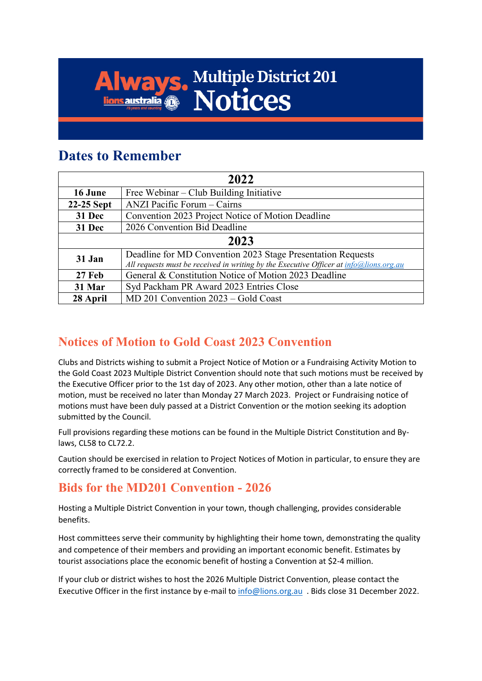# **Ways. Multiple District 201 Always**

## **Dates to Remember**

| 2022       |                                                                                                                                                       |
|------------|-------------------------------------------------------------------------------------------------------------------------------------------------------|
| 16 June    | Free Webinar – Club Building Initiative                                                                                                               |
| 22-25 Sept | ANZI Pacific Forum – Cairns                                                                                                                           |
| 31 Dec     | Convention 2023 Project Notice of Motion Deadline                                                                                                     |
| 31 Dec     | 2026 Convention Bid Deadline                                                                                                                          |
| 2023       |                                                                                                                                                       |
| 31 Jan     | Deadline for MD Convention 2023 Stage Presentation Requests<br>All requests must be received in writing by the Executive Officer at info@lions.org.au |
| 27 Feb     | General & Constitution Notice of Motion 2023 Deadline                                                                                                 |
| 31 Mar     | Syd Packham PR Award 2023 Entries Close                                                                                                               |
| 28 April   | MD 201 Convention 2023 - Gold Coast                                                                                                                   |

### **Notices of Motion to Gold Coast 2023 Convention**

Clubs and Districts wishing to submit a Project Notice of Motion or a Fundraising Activity Motion to the Gold Coast 2023 Multiple District Convention should note that such motions must be received by the Executive Officer prior to the 1st day of 2023. Any other motion, other than a late notice of motion, must be received no later than Monday 27 March 2023. Project or Fundraising notice of motions must have been duly passed at a District Convention or the motion seeking its adoption submitted by the Council.

Full provisions regarding these motions can be found in the Multiple District Constitution and Bylaws, CL58 to CL72.2.

Caution should be exercised in relation to Project Notices of Motion in particular, to ensure they are correctly framed to be considered at Convention.

### **Bids for the MD201 Convention - 2026**

Hosting a Multiple District Convention in your town, though challenging, provides considerable benefits.

Host committees serve their community by highlighting their home town, demonstrating the quality and competence of their members and providing an important economic benefit. Estimates by tourist associations place the economic benefit of hosting a Convention at \$2-4 million.

If your club or district wishes to host the 2026 Multiple District Convention, please contact the Executive Officer in the first instance by e-mail to [info@lions.org.au](mailto:info@lions.org.au) . Bids close 31 December 2022.